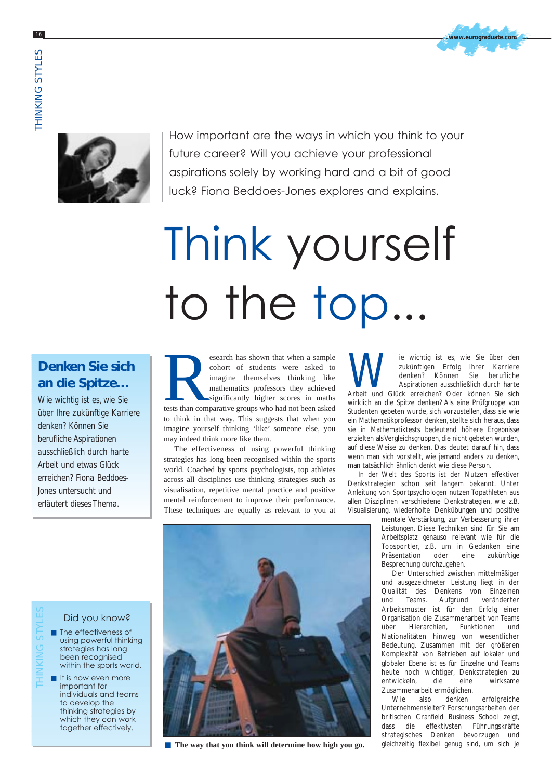



How important are the ways in which you think to your future career? Will you achieve your professional aspirations solely by working hard and a bit of good luck? Fiona Beddoes-Jones explores and explains.

# Think yourself to the top...

## **Denken Sie sich an die Spitze…**

*Wie wichtig ist es, wie Sie über Ihre zukünftige Karriere denken? Können Sie berufliche Aspirationen ausschließlich durch harte Arbeit und etwas Glück erreichen? Fiona Beddoes-Jones untersucht und erläutert dieses Thema.*

esearch has shown that when a sample<br>
cohort of students were asked to<br>
imagine themselves thinking like<br>
mathematics professors they achieved<br>
significantly higher scores in maths<br>
tests than comparative groups who had no cohort of students were asked to imagine themselves thinking like mathematics professors they achieved significantly higher scores in maths to think in that way. This suggests that when you imagine yourself thinking 'like' someone else, you may indeed think more like them.

The effectiveness of using powerful thinking strategies has long been recognised within the sports world. Coached by sports psychologists, top athletes across all disciplines use thinking strategies such as visualisation, repetitive mental practice and positive mental reinforcement to improve their performance. These techniques are equally as relevant to you at

Wie wichtig ist es, wie Sie über den zukünftigen Erfolg Ihrer Karriere denken? Können Sie berufliche Aspirationen ausschließlich durch harte Arbeit und Glück erreichen? Oder können Sie sich zukünftigen Erfolg Ihrer Karriere denken? Können Sie berufliche Aspirationen ausschließlich durch harte wirklich an die Spitze denken? Als eine Prüfgruppe von Studenten gebeten wurde, sich vorzustellen, dass sie wie ein Mathematikprofessor denken, stellte sich heraus, dass sie in Mathematiktests bedeutend höhere Ergebnisse erzielten als Vergleichsgruppen, die nicht gebeten wurden, auf diese Weise zu denken. Das deutet darauf hin, dass wenn man sich vorstellt, wie jemand anders zu denken, man tatsächlich ähnlich denkt wie diese Person.

In der Welt des Sports ist der Nutzen effektiver Denkstrategien schon seit langem bekannt. Unter Anleitung von Sportpsychologen nutzen Topathleten aus allen Disziplinen verschiedene Denkstrategien, wie z.B. Visualisierung, wiederholte Denkübungen und positive

mentale Verstärkung, zur Verbesserung ihrer Leistungen. Diese Techniken sind für Sie am Arbeitsplatz genauso relevant wie für die Topsportler, z.B. um in Gedanken eine Präsentation oder eine zukünftige Besprechung durchzugehen.

Der Unterschied zwischen mittelmäßiger und ausgezeichneter Leistung liegt in der Qualität des Denkens von Einzelnen<br>und Teams. Aufgrund veränderter und Teams. Aufgrund veränderter Arbeitsmuster ist für den Erfolg einer Organisation die Zusammenarbeit von Teams über Hierarchien, Funktionen und Nationalitäten hinweg von wesentlicher Bedeutung. Zusammen mit der größeren Komplexität von Betrieben auf lokaler und globaler Ebene ist es für Einzelne und Teams heute noch wichtiger, Denkstrategien zu entwickeln, die eine wirksame Zusammenarbeit ermöglichen.

Wie also denken erfolgreiche Unternehmensleiter? Forschungsarbeiten der britischen Cranfield Business School zeigt, dass die effektivsten Führungskräfte strategisches Denken bevorzugen und gleichzeitig flexibel genug sind, um sich je



- The effectiveness of using powerful thinking strategies has long been recognised within the sports world.
- It is now even more important for individuals and teams to develop the thinking strategies by which they can work together effectively. THINKING STYLES



■ **The way that you think will determine how high you go.**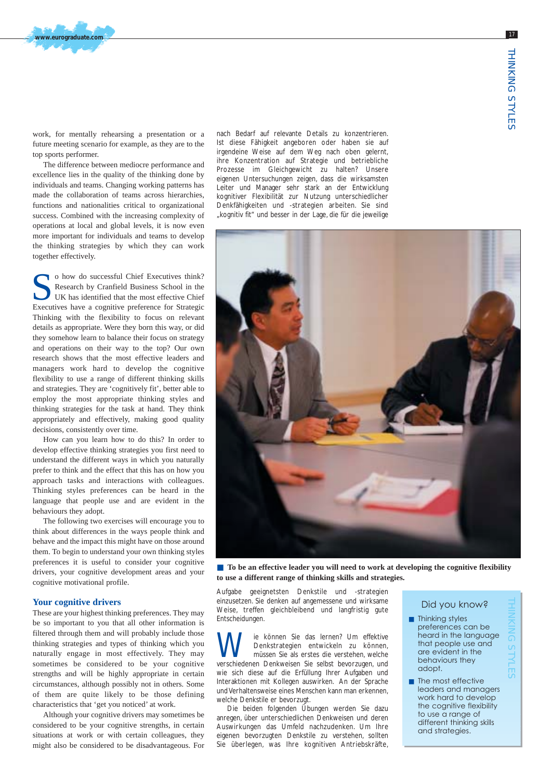work, for mentally rehearsing a presentation or a future meeting scenario for example, as they are to the top sports performer.

**www.eurograduate.com**

The difference between mediocre performance and excellence lies in the quality of the thinking done by individuals and teams. Changing working patterns has made the collaboration of teams across hierarchies, functions and nationalities critical to organizational success. Combined with the increasing complexity of operations at local and global levels, it is now even more important for individuals and teams to develop the thinking strategies by which they can work together effectively.

O how do successful Chief Executives think?<br>
Research by Cranfield Business School in the<br>
UK has identified that the most effective Chief<br>
Executives have a cognitive preference for Strategic Research by Cranfield Business School in the Executives have a cognitive preference for Strategic Thinking with the flexibility to focus on relevant details as appropriate. Were they born this way, or did they somehow learn to balance their focus on strategy and operations on their way to the top? Our own research shows that the most effective leaders and managers work hard to develop the cognitive flexibility to use a range of different thinking skills and strategies. They are 'cognitively fit', better able to employ the most appropriate thinking styles and thinking strategies for the task at hand. They think appropriately and effectively, making good quality decisions, consistently over time.

How can you learn how to do this? In order to develop effective thinking strategies you first need to understand the different ways in which you naturally prefer to think and the effect that this has on how you approach tasks and interactions with colleagues. Thinking styles preferences can be heard in the language that people use and are evident in the behaviours they adopt.

The following two exercises will encourage you to think about differences in the ways people think and behave and the impact this might have on those around them. To begin to understand your own thinking styles preferences it is useful to consider your cognitive drivers, your cognitive development areas and your cognitive motivational profile.

#### **Your cognitive drivers**

These are your highest thinking preferences. They may be so important to you that all other information is filtered through them and will probably include those thinking strategies and types of thinking which you naturally engage in most effectively. They may sometimes be considered to be your cognitive strengths and will be highly appropriate in certain circumstances, although possibly not in others. Some of them are quite likely to be those defining characteristics that 'get you noticed' at work.

Although your cognitive drivers may sometimes be considered to be your cognitive strengths, in certain situations at work or with certain colleagues, they might also be considered to be disadvantageous. For nach Bedarf auf relevante Details zu konzentrieren. Ist diese Fähigkeit angeboren oder haben sie auf irgendeine Weise auf dem Weg nach oben gelernt, ihre Konzentration auf Strategie und betriebliche Prozesse im Gleichgewicht zu halten? Unsere eigenen Untersuchungen zeigen, dass die wirksamsten Leiter und Manager sehr stark an der Entwicklung kognitiver Flexibilität zur Nutzung unterschiedlicher Denkfähigkeiten und -strategien arbeiten. Sie sind "kognitiv fit" und besser in der Lage, die für die jeweilige



■ **To** be an effective leader you will need to work at developing the cognitive flexibility **to use a different range of thinking skills and strategies.**

Aufgabe geeignetsten Denkstile und -strategien einzusetzen. Sie denken auf angemessene und wirksame Weise, treffen gleichbleibend und langfristig gute Entscheidungen.

**Wie können Sie das Iernen? Um effektive**<br>müssen Sie als erstes die verstehen, welche<br>verschiedenen Denkweisen Sie selbst bevorzugen und Denkstrategien entwickeln zu können, verschiedenen Denkweisen Sie selbst bevorzugen, und wie sich diese auf die Erfüllung Ihrer Aufgaben und Interaktionen mit Kollegen auswirken. An der Sprache und Verhaltensweise eines Menschen kann man erkennen, welche Denkstile er bevorzugt.

Die beiden folgenden Übungen werden Sie dazu anregen, über unterschiedlichen Denkweisen und deren Auswirkungen das Umfeld nachzudenken. Um Ihre eigenen bevorzugten Denkstile zu verstehen, sollten Sie überlegen, was Ihre kognitiven Antriebskräfte,

#### Did you know?

■ Thinking styles preferences can be heard in the language that people use and are evident in the behaviours they adopt.

THINKING STYLES

■ The most effective leaders and managers work hard to develop the cognitive flexibility to use a range of different thinking skills and strategies.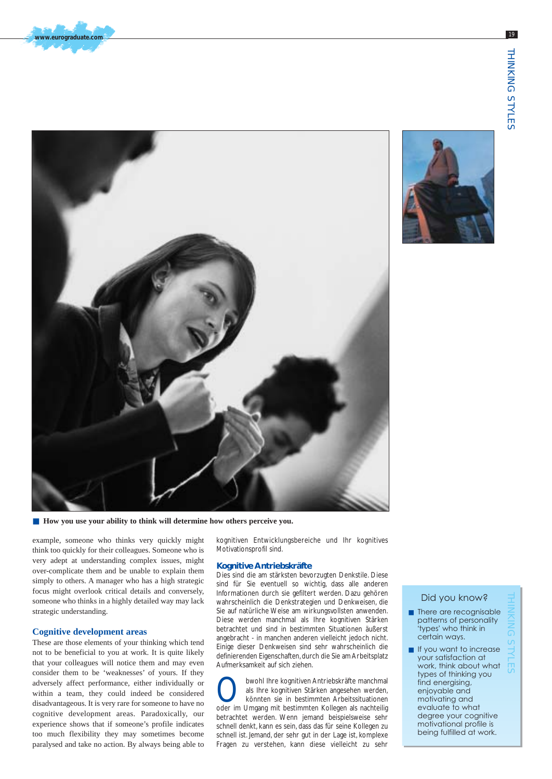



■ How you use your ability to think will determine how others perceive you.

example, someone who thinks very quickly might think too quickly for their colleagues. Someone who is very adept at understanding complex issues, might over-complicate them and be unable to explain them simply to others. A manager who has a high strategic focus might overlook critical details and conversely, someone who thinks in a highly detailed way may lack strategic understanding.

#### **Cognitive development areas**

These are those elements of your thinking which tend not to be beneficial to you at work. It is quite likely that your colleagues will notice them and may even consider them to be 'weaknesses' of yours. If they adversely affect performance, either individually or within a team, they could indeed be considered disadvantageous. It is very rare for someone to have no cognitive development areas. Paradoxically, our experience shows that if someone's profile indicates too much flexibility they may sometimes become paralysed and take no action. By always being able to

kognitiven Entwicklungsbereiche und Ihr kognitives Motivationsprofil sind.

#### **Kognitive Antriebskräfte**

Dies sind die am stärksten bevorzugten Denkstile. Diese sind für Sie eventuell so wichtig, dass alle anderen Informationen durch sie gefiltert werden. Dazu gehören wahrscheinlich die Denkstrategien und Denkweisen, die Sie auf natürliche Weise am wirkungsvollsten anwenden. Diese werden manchmal als Ihre kognitiven Stärken betrachtet und sind in bestimmten Situationen äußerst angebracht - in manchen anderen vielleicht jedoch nicht. Einige dieser Denkweisen sind sehr wahrscheinlich die definierenden Eigenschaften, durch die Sie am Arbeitsplatz Aufmerksamkeit auf sich ziehen.

**Obwohl Ihre kognitiven Antriebskräfte manchmal als Ihre kognitiven Stärken angesehen werden, könnten sie in bestimmten Arbeitssituationen**<br>Oder im Umgang mit bestimmten Kollegen als nachteilig als Ihre kognitiven Stärken angesehen werden, könnten sie in bestimmten Arbeitssituationen oder im Umgang mit bestimmten Kollegen als nachteilig betrachtet werden. Wenn jemand beispielsweise sehr schnell denkt, kann es sein, dass das für seine Kollegen zu schnell ist. Jemand, der sehr gut in der Lage ist, komplexe Fragen zu verstehen, kann diese vielleicht zu sehr

#### Did you know?

- There are recognisable patterns of personality 'types' who think in certain ways.
- If you want to increase your satisfaction at work, think about what types of thinking you find energising, enjoyable and motivating and evaluate to what degree your cognitive motivational profile is being fulfilled at work.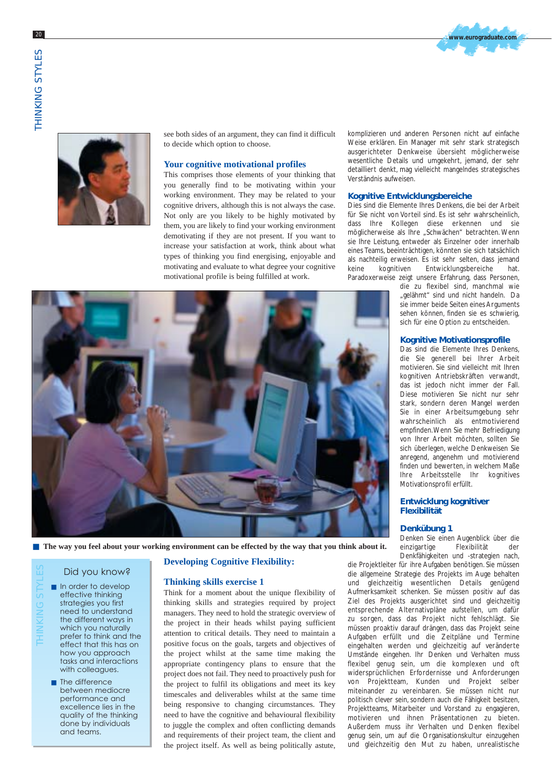



see both sides of an argument, they can find it difficult to decide which option to choose.

#### **Your cognitive motivational profiles**

This comprises those elements of your thinking that you generally find to be motivating within your working environment. They may be related to your cognitive drivers, although this is not always the case. Not only are you likely to be highly motivated by them, you are likely to find your working environment demotivating if they are not present. If you want to increase your satisfaction at work, think about what types of thinking you find energising, enjoyable and motivating and evaluate to what degree your cognitive motivational profile is being fulfilled at work.

komplizieren und anderen Personen nicht auf einfache Weise erklären. Ein Manager mit sehr stark strategisch ausgerichteter Denkweise übersieht möglicherweise wesentliche Details und umgekehrt, jemand, der sehr detailliert denkt, mag vielleicht mangelndes strategisches Verständnis aufweisen.

#### **Kognitive Entwicklungsbereiche**

Dies sind die Elemente Ihres Denkens, die bei der Arbeit für Sie nicht von Vorteil sind. Es ist sehr wahrscheinlich, dass Ihre Kollegen diese erkennen und sie möglicherweise als Ihre "Schwächen" betrachten. Wenn sie Ihre Leistung, entweder als Einzelner oder innerhalb eines Teams, beeinträchtigen, könnten sie sich tatsächlich als nachteilig erweisen. Es ist sehr selten, dass jemand keine kognitiven Entwicklungsbereiche hat. Paradoxerweise zeigt unsere Erfahrung, dass Personen,

die zu flexibel sind, manchmal wie "gelähmt" sind und nicht handeln. Da sie immer beide Seiten eines Arguments sehen können, finden sie es schwierig, sich für eine Option zu entscheiden.

#### **Kognitive Motivationsprofile**

Das sind die Elemente Ihres Denkens, die Sie generell bei Ihrer Arbeit motivieren. Sie sind vielleicht mit Ihren kognitiven Antriebskräften verwandt, das ist jedoch nicht immer der Fall. Diese motivieren Sie nicht nur sehr stark, sondern deren Mangel werden Sie in einer Arbeitsumgebung sehr wahrscheinlich als entmotivierend empfinden.Wenn Sie mehr Befriedigung von Ihrer Arbeit möchten, sollten Sie sich überlegen, welche Denkweisen Sie anregend, angenehm und motivierend finden und bewerten, in welchem Maße Ihre Arbeitsstelle Ihr kognitives Motivationsprofil erfüllt.

#### **Entwicklung kognitiver Flexibilität**

#### **Denkübung 1**

Denken Sie einen Augenblick über die einzigartige Flexibilität der Denkfähigkeiten und -strategien nach,

die Projektleiter für ihre Aufgaben benötigen. Sie müssen die allgemeine Strategie des Projekts im Auge behalten und gleichzeitig wesentlichen Details genügend Aufmerksamkeit schenken. Sie müssen positiv auf das Ziel des Projekts ausgerichtet sind und gleichzeitig entsprechende Alternativpläne aufstellen, um dafür zu sorgen, dass das Projekt nicht fehlschlägt. Sie müssen proaktiv darauf drängen, dass das Projekt seine Aufgaben erfüllt und die Zeitpläne und Termine eingehalten werden und gleichzeitig auf veränderte Umstände eingehen. Ihr Denken und Verhalten muss flexibel genug sein, um die komplexen und oft widersprüchlichen Erfordernisse und Anforderungen von Projektteam, Kunden und Projekt selber miteinander zu vereinbaren. Sie müssen nicht nur politisch clever sein, sondern auch die Fähigkeit besitzen, Projektteams, Mitarbeiter und Vorstand zu engagieren, motivieren und ihnen Präsentationen zu bieten. Außerdem muss ihr Verhalten und Denken flexibel genug sein, um auf die Organisationskultur einzugehen und gleichzeitig den Mut zu haben, unrealistische



#### Did you know?

■ In order to develop effective thinking strategies you first need to understand the different ways in which you naturally prefer to think and the effect that this has on how you approach tasks and interactions with colleagues. THINKING STYLES

> ■ The difference between mediocre performance and excellence lies in the quality of the thinking done by individuals and teams.

#### **Developing Cognitive Flexibility:**

#### **Thinking skills exercise 1**

Think for a moment about the unique flexibility of thinking skills and strategies required by project managers. They need to hold the strategic overview of the project in their heads whilst paying sufficient attention to critical details. They need to maintain a positive focus on the goals, targets and objectives of the project whilst at the same time making the appropriate contingency plans to ensure that the project does not fail. They need to proactively push for the project to fulfil its obligations and meet its key timescales and deliverables whilst at the same time being responsive to changing circumstances. They need to have the cognitive and behavioural flexibility to juggle the complex and often conflicting demands and requirements of their project team, the client and the project itself. As well as being politically astute,